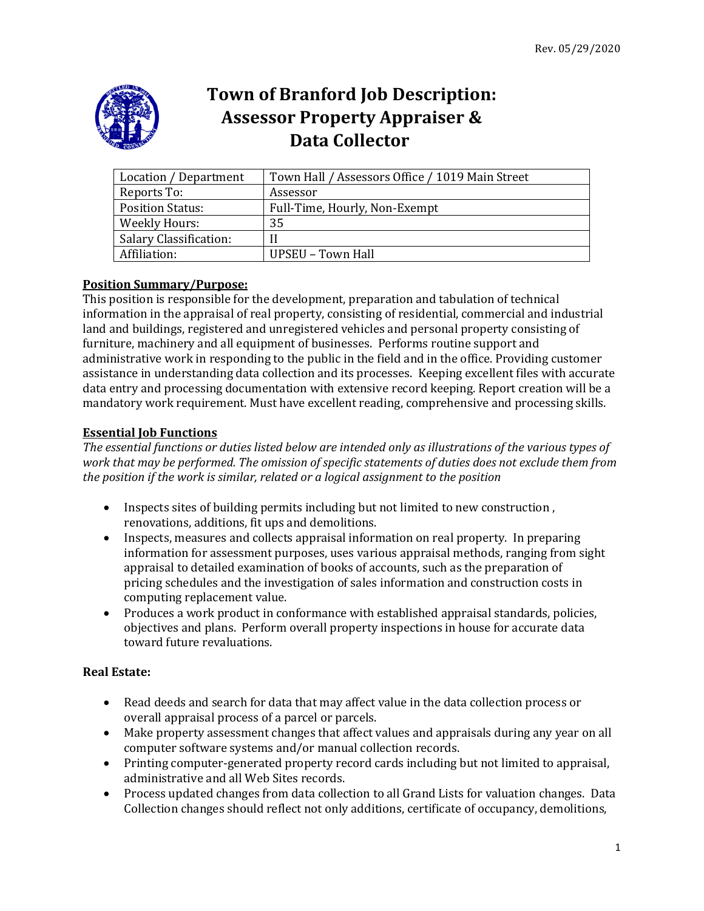

# **Town of Branford Job Description: Assessor Property Appraiser & Data Collector**

| Location / Department         | Town Hall / Assessors Office / 1019 Main Street |
|-------------------------------|-------------------------------------------------|
| Reports To:                   | Assessor                                        |
| <b>Position Status:</b>       | Full-Time, Hourly, Non-Exempt                   |
| <b>Weekly Hours:</b>          | 35                                              |
| <b>Salary Classification:</b> |                                                 |
| Affiliation:                  | UPSEU – Town Hall                               |

# **Position Summary/Purpose:**

This position is responsible for the development, preparation and tabulation of technical information in the appraisal of real property, consisting of residential, commercial and industrial land and buildings, registered and unregistered vehicles and personal property consisting of furniture, machinery and all equipment of businesses. Performs routine support and administrative work in responding to the public in the field and in the office. Providing customer assistance in understanding data collection and its processes. Keeping excellent files with accurate data entry and processing documentation with extensive record keeping. Report creation will be a mandatory work requirement. Must have excellent reading, comprehensive and processing skills.

# **Essential Job Functions**

*The essential functions or duties listed below are intended only as illustrations of the various types of work that may be performed. The omission of specific statements of duties does not exclude them from the position if the work is similar, related or a logical assignment to the position*

- Inspects sites of building permits including but not limited to new construction , renovations, additions, fit ups and demolitions.
- Inspects, measures and collects appraisal information on real property. In preparing information for assessment purposes, uses various appraisal methods, ranging from sight appraisal to detailed examination of books of accounts, such as the preparation of pricing schedules and the investigation of sales information and construction costs in computing replacement value.
- Produces a work product in conformance with established appraisal standards, policies, objectives and plans. Perform overall property inspections in house for accurate data toward future revaluations.

## **Real Estate:**

- Read deeds and search for data that may affect value in the data collection process or overall appraisal process of a parcel or parcels.
- Make property assessment changes that affect values and appraisals during any year on all computer software systems and/or manual collection records.
- Printing computer-generated property record cards including but not limited to appraisal, administrative and all Web Sites records.
- Process updated changes from data collection to all Grand Lists for valuation changes. Data Collection changes should reflect not only additions, certificate of occupancy, demolitions,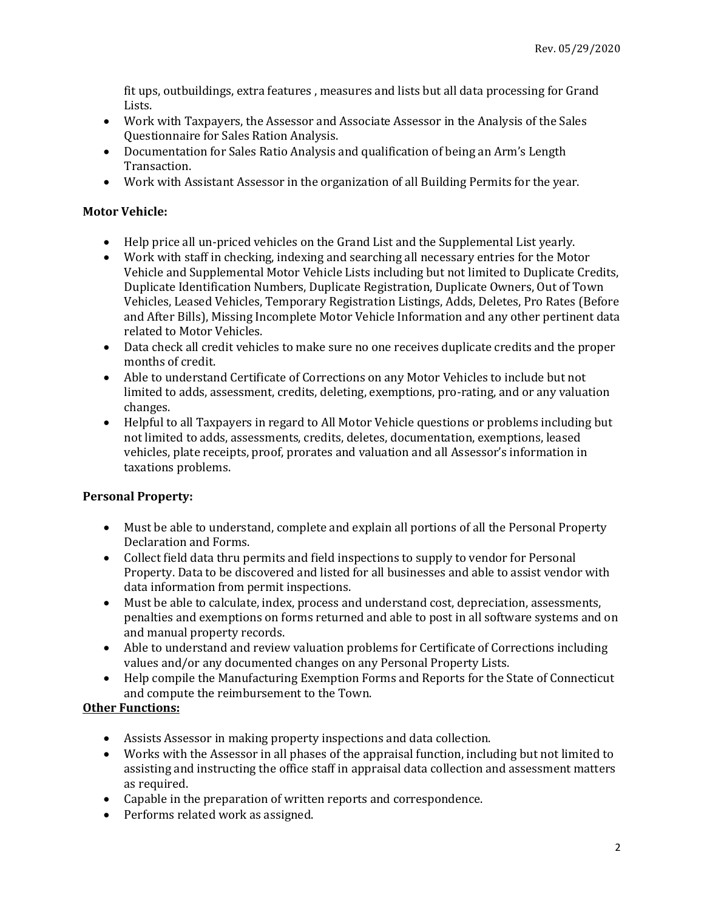fit ups, outbuildings, extra features , measures and lists but all data processing for Grand Lists.

- Work with Taxpayers, the Assessor and Associate Assessor in the Analysis of the Sales Questionnaire for Sales Ration Analysis.
- Documentation for Sales Ratio Analysis and qualification of being an Arm's Length Transaction.
- Work with Assistant Assessor in the organization of all Building Permits for the year.

### **Motor Vehicle:**

- Help price all un-priced vehicles on the Grand List and the Supplemental List yearly.
- Work with staff in checking, indexing and searching all necessary entries for the Motor Vehicle and Supplemental Motor Vehicle Lists including but not limited to Duplicate Credits, Duplicate Identification Numbers, Duplicate Registration, Duplicate Owners, Out of Town Vehicles, Leased Vehicles, Temporary Registration Listings, Adds, Deletes, Pro Rates (Before and After Bills), Missing Incomplete Motor Vehicle Information and any other pertinent data related to Motor Vehicles.
- Data check all credit vehicles to make sure no one receives duplicate credits and the proper months of credit.
- Able to understand Certificate of Corrections on any Motor Vehicles to include but not limited to adds, assessment, credits, deleting, exemptions, pro-rating, and or any valuation changes.
- Helpful to all Taxpayers in regard to All Motor Vehicle questions or problems including but not limited to adds, assessments, credits, deletes, documentation, exemptions, leased vehicles, plate receipts, proof, prorates and valuation and all Assessor's information in taxations problems.

## **Personal Property:**

- Must be able to understand, complete and explain all portions of all the Personal Property Declaration and Forms.
- Collect field data thru permits and field inspections to supply to vendor for Personal Property. Data to be discovered and listed for all businesses and able to assist vendor with data information from permit inspections.
- Must be able to calculate, index, process and understand cost, depreciation, assessments, penalties and exemptions on forms returned and able to post in all software systems and on and manual property records.
- Able to understand and review valuation problems for Certificate of Corrections including values and/or any documented changes on any Personal Property Lists.
- Help compile the Manufacturing Exemption Forms and Reports for the State of Connecticut and compute the reimbursement to the Town.

# **Other Functions:**

- Assists Assessor in making property inspections and data collection.
- Works with the Assessor in all phases of the appraisal function, including but not limited to assisting and instructing the office staff in appraisal data collection and assessment matters as required.
- Capable in the preparation of written reports and correspondence.
- Performs related work as assigned.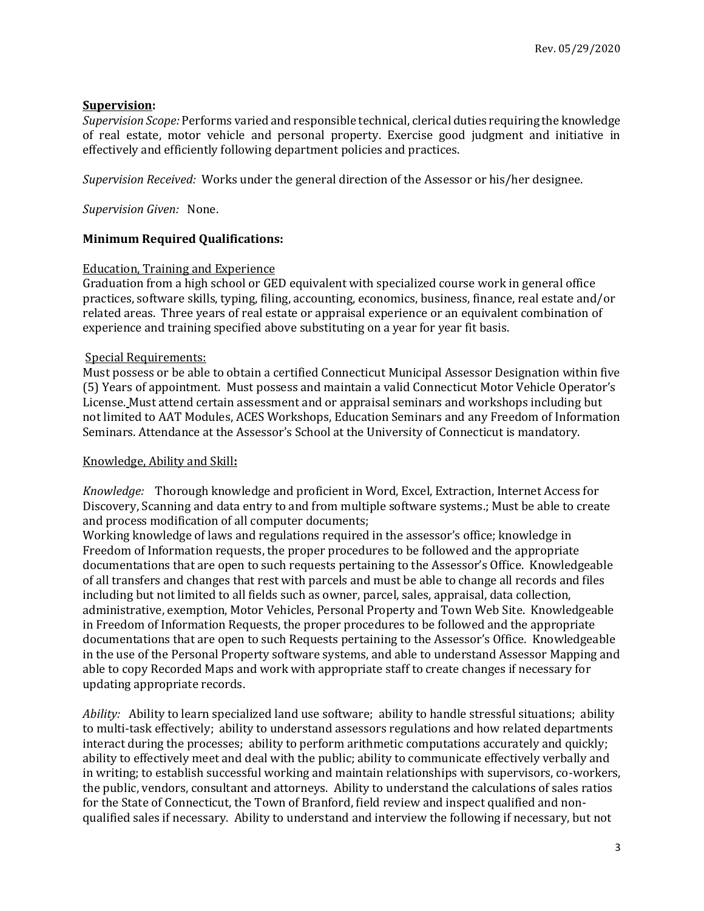## **Supervision:**

*Supervision Scope:* Performs varied and responsible technical, clerical duties requiring the knowledge of real estate, motor vehicle and personal property. Exercise good judgment and initiative in effectively and efficiently following department policies and practices.

*Supervision Received:* Works under the general direction of the Assessor or his/her designee.

*Supervision Given:* None.

### **Minimum Required Qualifications:**

#### Education, Training and Experience

Graduation from a high school or GED equivalent with specialized course work in general office practices, software skills, typing, filing, accounting, economics, business, finance, real estate and/or related areas. Three years of real estate or appraisal experience or an equivalent combination of experience and training specified above substituting on a year for year fit basis.

### Special Requirements:

Must possess or be able to obtain a certified Connecticut Municipal Assessor Designation within five (5) Years of appointment. Must possess and maintain a valid Connecticut Motor Vehicle Operator's License. Must attend certain assessment and or appraisal seminars and workshops including but not limited to AAT Modules, ACES Workshops, Education Seminars and any Freedom of Information Seminars. Attendance at the Assessor's School at the University of Connecticut is mandatory.

#### Knowledge, Ability and Skill**:**

*Knowledge:* Thorough knowledge and proficient in Word, Excel, Extraction, Internet Access for Discovery, Scanning and data entry to and from multiple software systems.; Must be able to create and process modification of all computer documents;

Working knowledge of laws and regulations required in the assessor's office; knowledge in Freedom of Information requests, the proper procedures to be followed and the appropriate documentations that are open to such requests pertaining to the Assessor's Office. Knowledgeable of all transfers and changes that rest with parcels and must be able to change all records and files including but not limited to all fields such as owner, parcel, sales, appraisal, data collection, administrative, exemption, Motor Vehicles, Personal Property and Town Web Site. Knowledgeable in Freedom of Information Requests, the proper procedures to be followed and the appropriate documentations that are open to such Requests pertaining to the Assessor's Office. Knowledgeable in the use of the Personal Property software systems, and able to understand Assessor Mapping and able to copy Recorded Maps and work with appropriate staff to create changes if necessary for updating appropriate records.

*Ability:* Ability to learn specialized land use software; ability to handle stressful situations; ability to multi-task effectively; ability to understand assessors regulations and how related departments interact during the processes; ability to perform arithmetic computations accurately and quickly; ability to effectively meet and deal with the public; ability to communicate effectively verbally and in writing; to establish successful working and maintain relationships with supervisors, co-workers, the public, vendors, consultant and attorneys. Ability to understand the calculations of sales ratios for the State of Connecticut, the Town of Branford, field review and inspect qualified and nonqualified sales if necessary. Ability to understand and interview the following if necessary, but not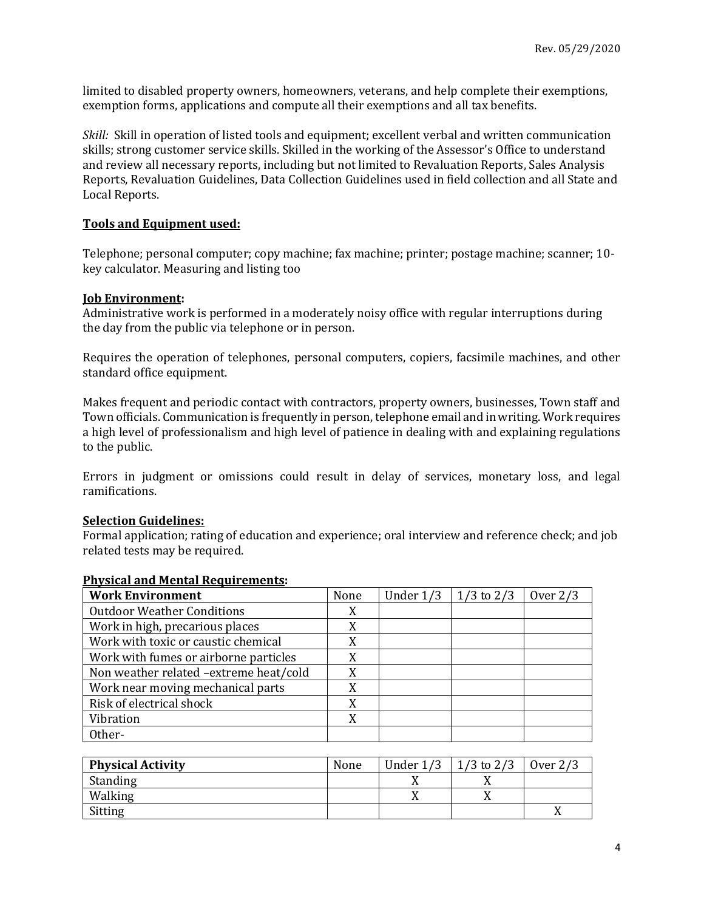limited to disabled property owners, homeowners, veterans, and help complete their exemptions, exemption forms, applications and compute all their exemptions and all tax benefits.

*Skill:* Skill in operation of listed tools and equipment; excellent verbal and written communication skills; strong customer service skills. Skilled in the working of the Assessor's Office to understand and review all necessary reports, including but not limited to Revaluation Reports, Sales Analysis Reports, Revaluation Guidelines, Data Collection Guidelines used in field collection and all State and Local Reports.

## **Tools and Equipment used:**

Telephone; personal computer; copy machine; fax machine; printer; postage machine; scanner; 10 key calculator. Measuring and listing too

#### **Job Environment:**

Administrative work is performed in a moderately noisy office with regular interruptions during the day from the public via telephone or in person.

Requires the operation of telephones, personal computers, copiers, facsimile machines, and other standard office equipment.

Makes frequent and periodic contact with contractors, property owners, businesses, Town staff and Town officials. Communication is frequently in person, telephone email and in writing. Work requires a high level of professionalism and high level of patience in dealing with and explaining regulations to the public.

Errors in judgment or omissions could result in delay of services, monetary loss, and legal ramifications.

#### **Selection Guidelines:**

Formal application; rating of education and experience; oral interview and reference check; and job related tests may be required.

| <b>Work Environment</b>                | None | Under 1/3 | $1/3$ to $2/3$ | Over $2/3$ |
|----------------------------------------|------|-----------|----------------|------------|
| <b>Outdoor Weather Conditions</b>      | X    |           |                |            |
| Work in high, precarious places        |      |           |                |            |
| Work with toxic or caustic chemical    |      |           |                |            |
| Work with fumes or airborne particles  | X    |           |                |            |
| Non weather related -extreme heat/cold | X    |           |                |            |
| Work near moving mechanical parts      |      |           |                |            |
| Risk of electrical shock               |      |           |                |            |
| Vibration                              | X    |           |                |            |
| Other-                                 |      |           |                |            |

#### **Physical and Mental Requirements:**

| <b>Physical Activity</b> | None | Under $1/3$ | $1/3$ to $2/3$ | Over $2/3$ |
|--------------------------|------|-------------|----------------|------------|
| Standing                 |      |             |                |            |
| Walking                  |      |             | ∡⊾             |            |
| Sitting                  |      |             |                |            |